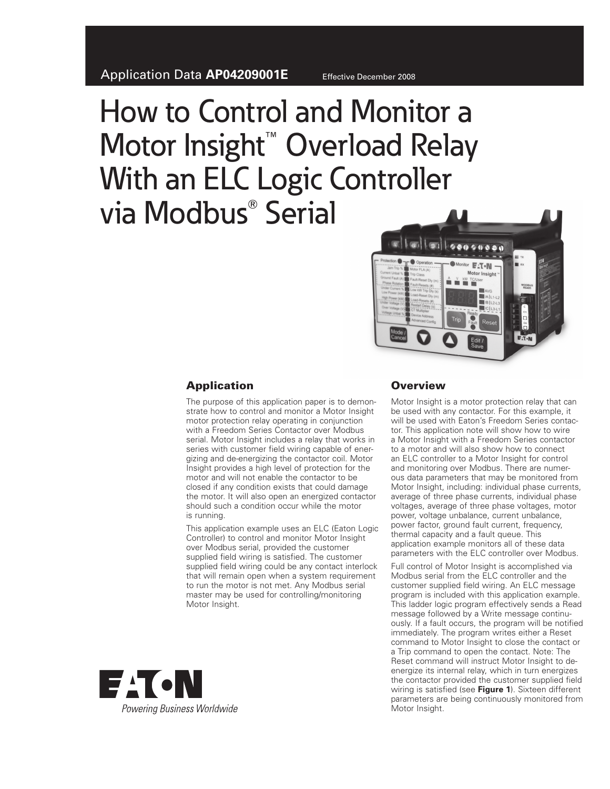# How to Control and Monitor a Motor Insight<sup>™</sup> Overload Relay With an ELC Logic Controller via Modbus Serial



## **Application**

The purpose of this application paper is to demonstrate how to control and monitor a Motor Insight motor protection relay operating in conjunction with a Freedom Series Contactor over Modbus serial. Motor Insight includes a relay that works in series with customer field wiring capable of energizing and de-energizing the contactor coil. Motor Insight provides a high level of protection for the motor and will not enable the contactor to be closed if any condition exists that could damage the motor. It will also open an energized contactor should such a condition occur while the motor is running.

This application example uses an ELC (Eaton Logic Controller) to control and monitor Motor Insight over Modbus serial, provided the customer supplied field wiring is satisfied. The customer supplied field wiring could be any contact interlock that will remain open when a system requirement to run the motor is not met. Any Modbus serial master may be used for controlling/monitoring Motor Insight.

## **Overview**

Motor Insight is a motor protection relay that can be used with any contactor. For this example, it will be used with Eaton's Freedom Series contactor. This application note will show how to wire a Motor Insight with a Freedom Series contactor to a motor and will also show how to connect an ELC controller to a Motor Insight for control and monitoring over Modbus. There are numerous data parameters that may be monitored from Motor Insight, including: individual phase currents, average of three phase currents, individual phase voltages, average of three phase voltages, motor power, voltage unbalance, current unbalance, power factor, ground fault current, frequency, thermal capacity and a fault queue. This application example monitors all of these data parameters with the ELC controller over Modbus.

Full control of Motor Insight is accomplished via Modbus serial from the ELC controller and the customer supplied field wiring. An ELC message program is included with this application example. This ladder logic program effectively sends a Read message followed by a Write message continuously. If a fault occurs, the program will be notified immediately. The program writes either a Reset command to Motor Insight to close the contact or a Trip command to open the contact. Note: The Reset command will instruct Motor Insight to deenergize its internal relay, which in turn energizes the contactor provided the customer supplied field wiring is satisfied (see **Figure 1**). Sixteen different parameters are being continuously monitored from Motor Insight.

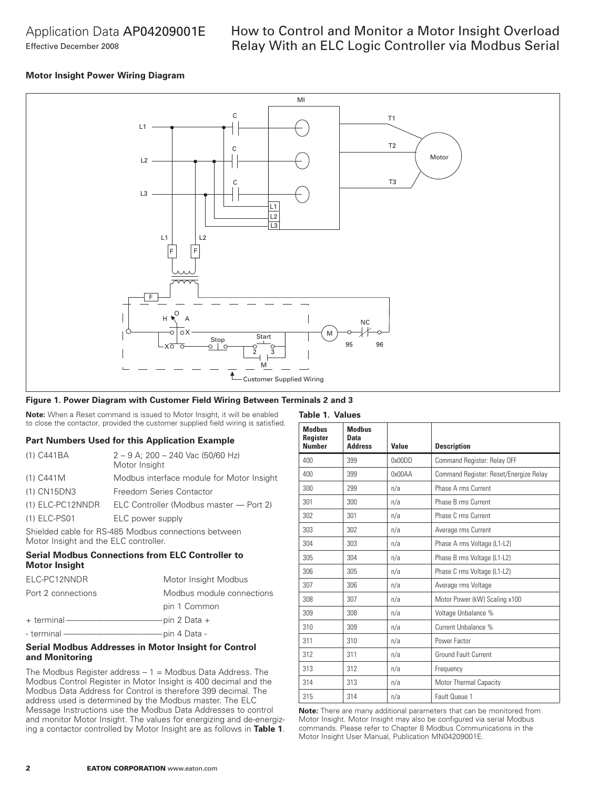## Application Data AP04209001E Effective December 2008

## How to Control and Monitor a Motor Insight Overload Relay With an ELC Logic Controller via Modbus Serial

## **Motor Insight Power Wiring Diagram**



**Table 1. Values**

## **Figure 1. Power Diagram with Customer Field Wiring Between Terminals 2 and 3**

**Note:** When a Reset command is issued to Motor Insight, it will be enabled to close the contactor, provided the customer supplied field wiring is satisfied.

#### **Part Numbers Used for this Application Example**

| (1) C441BA       | $2 - 9$ A; 200 - 240 Vac (50/60 Hz)<br>Motor Insight |
|------------------|------------------------------------------------------|
| (1) C441M        | Modbus interface module for Motor Insight            |
| (1) CN15DN3      | Freedom Series Contactor                             |
| (1) ELC-PC12NNDR | ELC Controller (Modbus master - Port 2)              |
| (1) ELC-PS01     | ELC power supply                                     |

Shielded cable for RS-485 Modbus connections between Motor Insight and the ELC controller.

## **Serial Modbus Connections from ELC Controller to Motor Insight**

| ELC-PC12NNDR       | Motor Insight Modbus      |
|--------------------|---------------------------|
| Port 2 connections | Modbus module connections |
|                    | pin 1 Common              |
|                    |                           |
|                    |                           |

## **Serial Modbus Addresses in Motor Insight for Control and Monitoring**

The Modbus Register address  $-1$  = Modbus Data Address. The Modbus Control Register in Motor Insight is 400 decimal and the Modbus Data Address for Control is therefore 399 decimal. The address used is determined by the Modbus master. The ELC Message Instructions use the Modbus Data Addresses to control and monitor Motor Insight. The values for energizing and de-energizing a contactor controlled by Motor Insight are as follows in **Table 1**.

| <b>Modhus</b><br>Register<br><b>Number</b> | <b>Modhus</b><br>Data<br><b>Address</b> | Value  | <b>Description</b>                     |
|--------------------------------------------|-----------------------------------------|--------|----------------------------------------|
| 400                                        | 399                                     | 0x00DD | Command Register: Relay OFF            |
| 400                                        | 399                                     | 0x00AA | Command Register: Reset/Energize Relay |
| 300                                        | 299                                     | n/a    | Phase A rms Current                    |
| 301                                        | 300                                     | n/a    | Phase B rms Current                    |
| 302                                        | 301                                     | n/a    | Phase C rms Current                    |
| 303                                        | 302                                     | n/a    | Average rms Current                    |
| 304                                        | 303                                     | n/a    | Phase A rms Voltage (L1-L2)            |
| 305                                        | 304                                     | n/a    | Phase B rms Voltage (L1-L2)            |
| 306                                        | 305                                     | n/a    | Phase C rms Voltage (L1-L2)            |
| 307                                        | 306                                     | n/a    | Average rms Voltage                    |
| 308                                        | 307                                     | n/a    | Motor Power (kW) Scaling x100          |
| 309                                        | 308                                     | n/a    | Voltage Unbalance %                    |
| 310                                        | 309                                     | n/a    | Current Unbalance %                    |
| 311                                        | 310                                     | n/a    | Power Factor                           |
| 312                                        | 311                                     | n/a    | Ground Fault Current                   |
| 313                                        | 312                                     | n/a    | Frequency                              |
| 314                                        | 313                                     | n/a    | Motor Thermal Capacity                 |
| 315                                        | 314                                     | n/a    | Fault Queue 1                          |

**Note:** There are many additional parameters that can be monitored from Motor Insight. Motor Insight may also be configured via serial Modbus commands. Please refer to Chapter 8 Modbus Communications in the Motor Insight User Manual, Publication MN04209001E.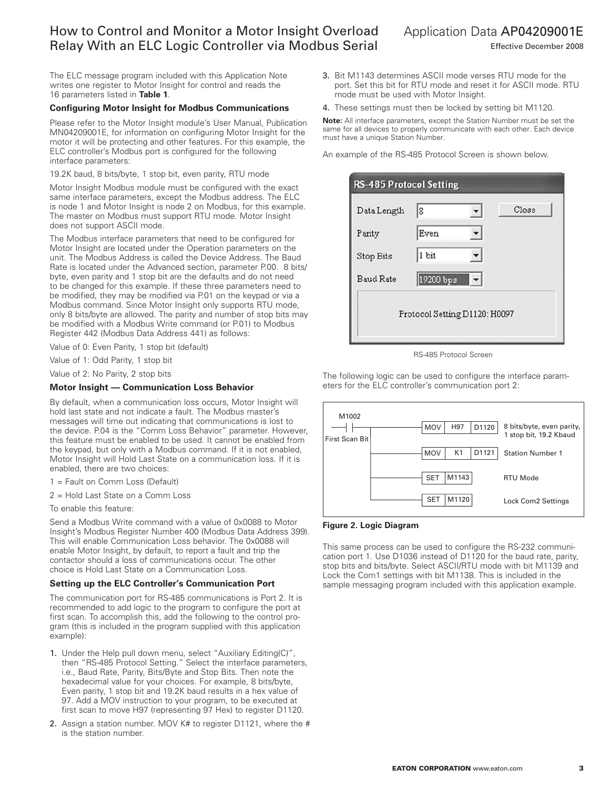# How to Control and Monitor a Motor Insight Overload Relay With an ELC Logic Controller via Modbus Serial

The ELC message program included with this Application Note writes one register to Motor Insight for control and reads the 16 parameters listed in **Table 1**.

### **Configuring Motor Insight for Modbus Communications**

Please refer to the Motor Insight module's User Manual, Publication MN04209001E, for information on configuring Motor Insight for the motor it will be protecting and other features. For this example, the ELC controller's Modbus port is configured for the following interface parameters:

## 19.2K baud, 8 bits/byte, 1 stop bit, even parity, RTU mode

Motor Insight Modbus module must be configured with the exact same interface parameters, except the Modbus address. The ELC is node 1 and Motor Insight is node 2 on Modbus, for this example. The master on Modbus must support RTU mode. Motor Insight does not support ASCII mode.

The Modbus interface parameters that need to be configured for Motor Insight are located under the Operation parameters on the unit. The Modbus Address is called the Device Address. The Baud Rate is located under the Advanced section, parameter P.00. 8 bits/ byte, even parity and 1 stop bit are the defaults and do not need to be changed for this example. If these three parameters need to be modified, they may be modified via P.01 on the keypad or via a Modbus command. Since Motor Insight only supports RTU mode, only 8 bits/byte are allowed. The parity and number of stop bits may be modified with a Modbus Write command (or P.01) to Modbus Register 442 (Modbus Data Address 441) as follows:

Value of 0: Even Parity, 1 stop bit (default)

Value of 1: Odd Parity, 1 stop bit

Value of 2: No Parity, 2 stop bits

#### **Motor Insight — Communication Loss Behavior**

By default, when a communication loss occurs, Motor Insight will hold last state and not indicate a fault. The Modbus master's messages will time out indicating that communications is lost to the device. P.04 is the "Comm Loss Behavior" parameter. However, this feature must be enabled to be used. It cannot be enabled from the keypad, but only with a Modbus command. If it is not enabled, Motor Insight will Hold Last State on a communication loss. If it is enabled, there are two choices:

- 1 = Fault on Comm Loss (Default)
- 2 = Hold Last State on a Comm Loss

To enable this feature:

Send a Modbus Write command with a value of 0x0088 to Motor Insight's Modbus Register Number 400 (Modbus Data Address 399). This will enable Communication Loss behavior. The 0x0088 will enable Motor Insight, by default, to report a fault and trip the contactor should a loss of communications occur. The other choice is Hold Last State on a Communication Loss.

#### **Setting up the ELC Controller's Communication Port**

The communication port for RS-485 communications is Port 2. It is recommended to add logic to the program to configure the port at first scan. To accomplish this, add the following to the control program (this is included in the program supplied with this application example):

- 1. Under the Help pull down menu, select "Auxiliary Editing(C)", then "RS-485 Protocol Setting." Select the interface parameters, i.e., Baud Rate, Parity, Bits/Byte and Stop Bits. Then note the hexadecimal value for your choices. For example, 8 bits/byte, Even parity, 1 stop bit and 19.2K baud results in a hex value of 97. Add a MOV instruction to your program, to be executed at first scan to move H97 (representing 97 Hex) to register D1120.
- 2. Assign a station number. MOV K# to register D1121, where the # is the station number.

Application Data AP04209001E

Effective December 2008

- 3. Bit M1143 determines ASCII mode verses RTU mode for the port. Set this bit for RTU mode and reset it for ASCII mode. RTU mode must be used with Motor Insight.
- 4. These settings must then be locked by setting bit M1120.

**Note:** All interface parameters, except the Station Number must be set the same for all devices to properly communicate with each other. Each device must have a unique Station Number.

An example of the RS-485 Protocol Screen is shown below.

| <b>RS-485 Protocol Setting</b> |                               |
|--------------------------------|-------------------------------|
| Data Length                    | Close<br>8                    |
| Parity                         | Even                          |
| Stop Bits                      | 1 bit                         |
| <b>Baud Rate</b>               | $\blacksquare$ -<br>19200 bps |
|                                | Protocol Setting D1120: H0097 |

RS-485 Protocol Screen

The following logic can be used to configure the interface parameters for the ELC controller's communication port 2:



#### **Figure 2. Logic Diagram**

This same process can be used to configure the RS-232 communication port 1. Use D1036 instead of D1120 for the baud rate, parity, stop bits and bits/byte. Select ASCII/RTU mode with bit M1139 and Lock the Com1 settings with bit M1138. This is included in the sample messaging program included with this application example.